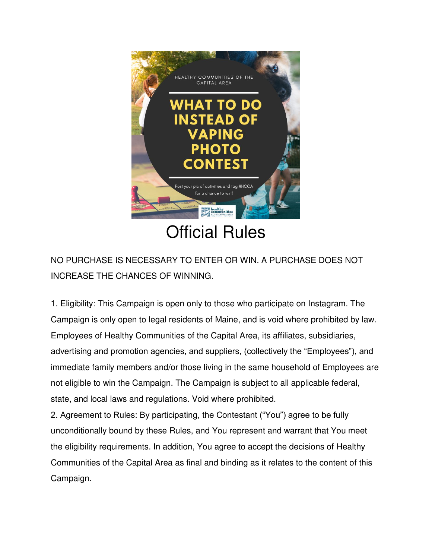

Official Rules

NO PURCHASE IS NECESSARY TO ENTER OR WIN. A PURCHASE DOES NOT INCREASE THE CHANCES OF WINNING.

1. Eligibility: This Campaign is open only to those who participate on Instagram. The Campaign is only open to legal residents of Maine, and is void where prohibited by law. Employees of Healthy Communities of the Capital Area, its affiliates, subsidiaries, advertising and promotion agencies, and suppliers, (collectively the "Employees"), and immediate family members and/or those living in the same household of Employees are not eligible to win the Campaign. The Campaign is subject to all applicable federal, state, and local laws and regulations. Void where prohibited.

2. Agreement to Rules: By participating, the Contestant ("You") agree to be fully unconditionally bound by these Rules, and You represent and warrant that You meet the eligibility requirements. In addition, You agree to accept the decisions of Healthy Communities of the Capital Area as final and binding as it relates to the content of this Campaign.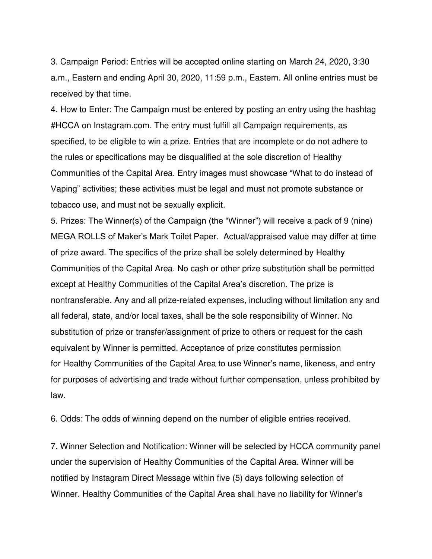3. Campaign Period: Entries will be accepted online starting on March 24, 2020, 3:30 a.m., Eastern and ending April 30, 2020, 11:59 p.m., Eastern. All online entries must be received by that time.

4. How to Enter: The Campaign must be entered by posting an entry using the hashtag #HCCA on Instagram.com. The entry must fulfill all Campaign requirements, as specified, to be eligible to win a prize. Entries that are incomplete or do not adhere to the rules or specifications may be disqualified at the sole discretion of Healthy Communities of the Capital Area. Entry images must showcase "What to do instead of Vaping" activities; these activities must be legal and must not promote substance or tobacco use, and must not be sexually explicit.

5. Prizes: The Winner(s) of the Campaign (the "Winner") will receive a pack of 9 (nine) MEGA ROLLS of Maker's Mark Toilet Paper. Actual/appraised value may differ at time of prize award. The specifics of the prize shall be solely determined by Healthy Communities of the Capital Area. No cash or other prize substitution shall be permitted except at Healthy Communities of the Capital Area's discretion. The prize is nontransferable. Any and all prize-related expenses, including without limitation any and all federal, state, and/or local taxes, shall be the sole responsibility of Winner. No substitution of prize or transfer/assignment of prize to others or request for the cash equivalent by Winner is permitted. Acceptance of prize constitutes permission for Healthy Communities of the Capital Area to use Winner's name, likeness, and entry for purposes of advertising and trade without further compensation, unless prohibited by law.

6. Odds: The odds of winning depend on the number of eligible entries received.

7. Winner Selection and Notification: Winner will be selected by HCCA community panel under the supervision of Healthy Communities of the Capital Area. Winner will be notified by Instagram Direct Message within five (5) days following selection of Winner. Healthy Communities of the Capital Area shall have no liability for Winner's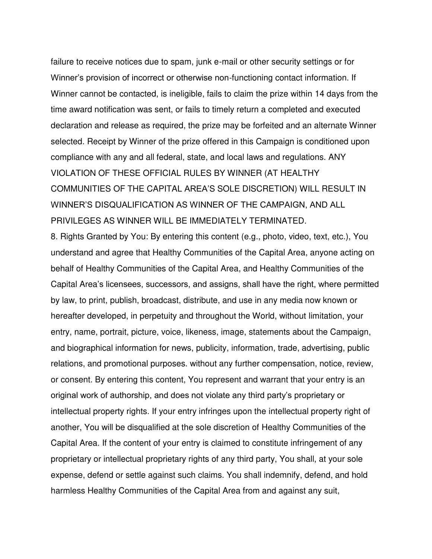failure to receive notices due to spam, junk e-mail or other security settings or for Winner's provision of incorrect or otherwise non-functioning contact information. If Winner cannot be contacted, is ineligible, fails to claim the prize within 14 days from the time award notification was sent, or fails to timely return a completed and executed declaration and release as required, the prize may be forfeited and an alternate Winner selected. Receipt by Winner of the prize offered in this Campaign is conditioned upon compliance with any and all federal, state, and local laws and regulations. ANY VIOLATION OF THESE OFFICIAL RULES BY WINNER (AT HEALTHY COMMUNITIES OF THE CAPITAL AREA'S SOLE DISCRETION) WILL RESULT IN WINNER'S DISQUALIFICATION AS WINNER OF THE CAMPAIGN, AND ALL PRIVILEGES AS WINNER WILL BE IMMEDIATELY TERMINATED.

8. Rights Granted by You: By entering this content (e.g., photo, video, text, etc.), You understand and agree that Healthy Communities of the Capital Area, anyone acting on behalf of Healthy Communities of the Capital Area, and Healthy Communities of the Capital Area's licensees, successors, and assigns, shall have the right, where permitted by law, to print, publish, broadcast, distribute, and use in any media now known or hereafter developed, in perpetuity and throughout the World, without limitation, your entry, name, portrait, picture, voice, likeness, image, statements about the Campaign, and biographical information for news, publicity, information, trade, advertising, public relations, and promotional purposes. without any further compensation, notice, review, or consent. By entering this content, You represent and warrant that your entry is an original work of authorship, and does not violate any third party's proprietary or intellectual property rights. If your entry infringes upon the intellectual property right of another, You will be disqualified at the sole discretion of Healthy Communities of the Capital Area. If the content of your entry is claimed to constitute infringement of any proprietary or intellectual proprietary rights of any third party, You shall, at your sole expense, defend or settle against such claims. You shall indemnify, defend, and hold harmless Healthy Communities of the Capital Area from and against any suit,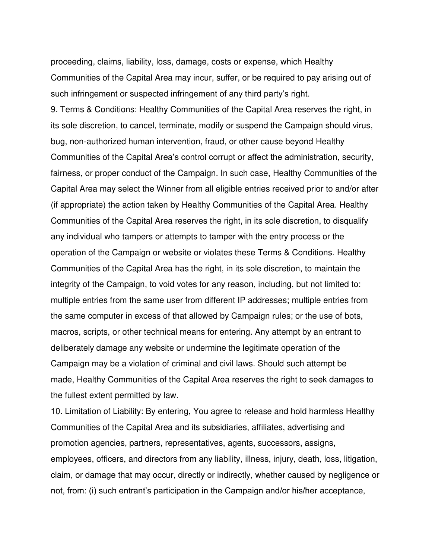proceeding, claims, liability, loss, damage, costs or expense, which Healthy Communities of the Capital Area may incur, suffer, or be required to pay arising out of such infringement or suspected infringement of any third party's right.

9. Terms & Conditions: Healthy Communities of the Capital Area reserves the right, in its sole discretion, to cancel, terminate, modify or suspend the Campaign should virus, bug, non-authorized human intervention, fraud, or other cause beyond Healthy Communities of the Capital Area's control corrupt or affect the administration, security, fairness, or proper conduct of the Campaign. In such case, Healthy Communities of the Capital Area may select the Winner from all eligible entries received prior to and/or after (if appropriate) the action taken by Healthy Communities of the Capital Area. Healthy Communities of the Capital Area reserves the right, in its sole discretion, to disqualify any individual who tampers or attempts to tamper with the entry process or the operation of the Campaign or website or violates these Terms & Conditions. Healthy Communities of the Capital Area has the right, in its sole discretion, to maintain the integrity of the Campaign, to void votes for any reason, including, but not limited to: multiple entries from the same user from different IP addresses; multiple entries from the same computer in excess of that allowed by Campaign rules; or the use of bots, macros, scripts, or other technical means for entering. Any attempt by an entrant to deliberately damage any website or undermine the legitimate operation of the Campaign may be a violation of criminal and civil laws. Should such attempt be made, Healthy Communities of the Capital Area reserves the right to seek damages to the fullest extent permitted by law.

10. Limitation of Liability: By entering, You agree to release and hold harmless Healthy Communities of the Capital Area and its subsidiaries, affiliates, advertising and promotion agencies, partners, representatives, agents, successors, assigns, employees, officers, and directors from any liability, illness, injury, death, loss, litigation, claim, or damage that may occur, directly or indirectly, whether caused by negligence or not, from: (i) such entrant's participation in the Campaign and/or his/her acceptance,